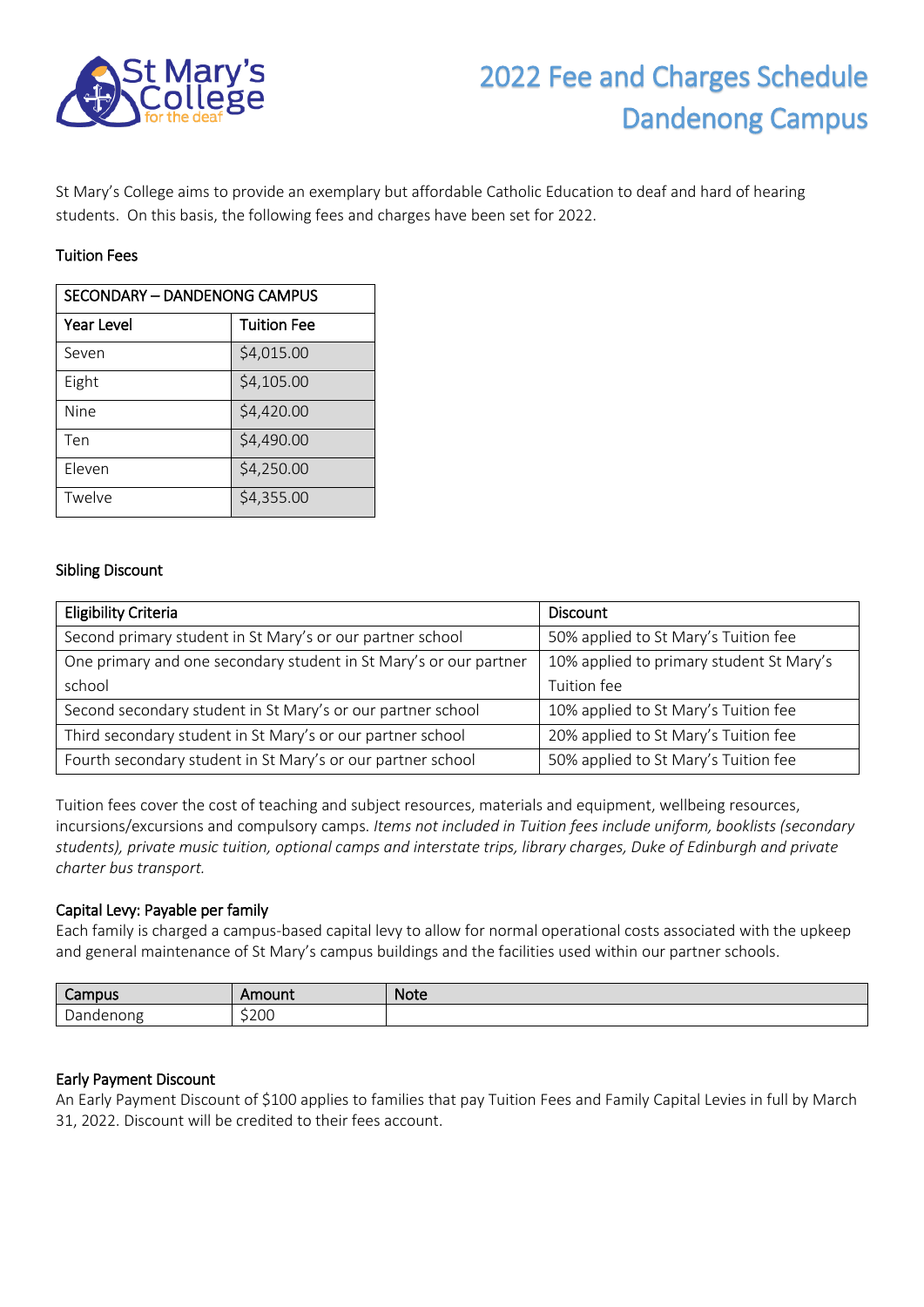

# 2022 Fee and Charges Schedule Dandenong Campus

St Mary's College aims to provide an exemplary but affordable Catholic Education to deaf and hard of hearing students. On this basis, the following fees and charges have been set for 2022.

# Tuition Fees

| SECONDARY - DANDENONG CAMPUS |                    |  |
|------------------------------|--------------------|--|
| <b>Year Level</b>            | <b>Tuition Fee</b> |  |
| Seven                        | \$4,015.00         |  |
| Eight                        | \$4,105.00         |  |
| Nine                         | \$4,420.00         |  |
| Ten                          | \$4,490.00         |  |
| Eleven                       | \$4,250.00         |  |
| Twelve                       | \$4,355.00         |  |

# Sibling Discount

| <b>Eligibility Criteria</b>                                       | <b>Discount</b>                          |
|-------------------------------------------------------------------|------------------------------------------|
| Second primary student in St Mary's or our partner school         | 50% applied to St Mary's Tuition fee     |
| One primary and one secondary student in St Mary's or our partner | 10% applied to primary student St Mary's |
| school                                                            | Tuition fee                              |
| Second secondary student in St Mary's or our partner school       | 10% applied to St Mary's Tuition fee     |
| Third secondary student in St Mary's or our partner school        | 20% applied to St Mary's Tuition fee     |
| Fourth secondary student in St Mary's or our partner school       | 50% applied to St Mary's Tuition fee     |

Tuition fees cover the cost of teaching and subject resources, materials and equipment, wellbeing resources, incursions/excursions and compulsory camps. *Items not included in Tuition fees include uniform, booklists (secondary students), private music tuition, optional camps and interstate trips, library charges, Duke of Edinburgh and private charter bus transport.*

# Capital Levy: Payable per family

Each family is charged a campus-based capital levy to allow for normal operational costs associated with the upkeep and general maintenance of St Mary's campus buildings and the facilities used within our partner schools.

| $^{\circ}$ ampus $^{\circ}$   | -------<br>nount | <b>Note</b> |
|-------------------------------|------------------|-------------|
| enong<br>$\sim$<br>naei<br>υc | \$200            |             |

# Early Payment Discount

An Early Payment Discount of \$100 applies to families that pay Tuition Fees and Family Capital Levies in full by March 31, 2022. Discount will be credited to their fees account.